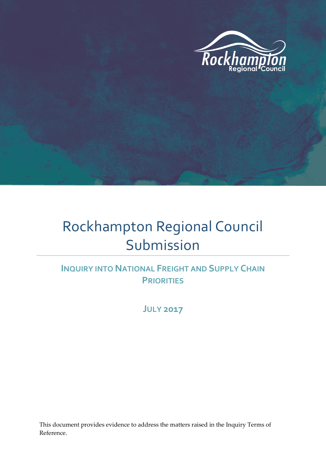

# Rockhampton Regional Council Submission

### **INQUIRY INTO NATIONAL FREIGHT AND SUPPLY CHAIN PRIORITIES**

**JULY 2017**

This document provides evidence to address the matters raised in the Inquiry Terms of Reference.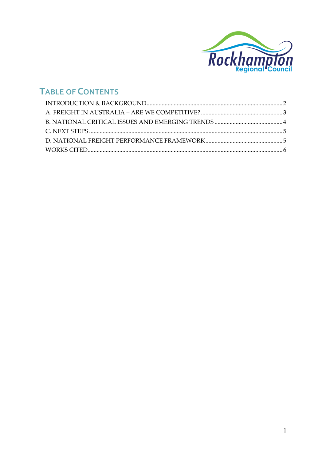

# **TABLE OF CONTENTS**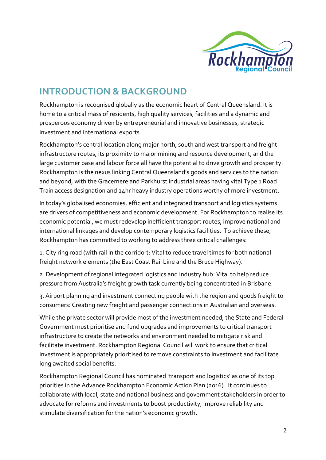

# <span id="page-2-0"></span>**INTRODUCTION & BACKGROUND**

Rockhampton is recognised globally as the economic heart of Central Queensland. It is home to a critical mass of residents, high quality services, facilities and a dynamic and prosperous economy driven by entrepreneurial and innovative businesses, strategic investment and international exports.

Rockhampton's central location along major north, south and west transport and freight infrastructure routes, its proximity to major mining and resource development, and the large customer base and labour force all have the potential to drive growth and prosperity. Rockhampton is the nexus linking Central Queensland's goods and services to the nation and beyond, with the Gracemere and Parkhurst industrial areas having vital Type 1 Road Train access designation and 24hr heavy industry operations worthy of more investment.

In today's globalised economies, efficient and integrated transport and logistics systems are drivers of competitiveness and economic development. For Rockhampton to realise its economic potential, we must redevelop inefficient transport routes, improve national and international linkages and develop contemporary logistics facilities. To achieve these, Rockhampton has committed to working to address three critical challenges:

1. City ring road (with rail in the corridor): Vital to reduce travel times for both national freight network elements (the East Coast Rail Line and the Bruce Highway).

2. Development of regional integrated logistics and industry hub: Vital to help reduce pressure from Australia's freight growth task currently being concentrated in Brisbane.

3. Airport planning and investment connecting people with the region and goods freight to consumers: Creating new freight and passenger connections in Australian and overseas.

While the private sector will provide most of the investment needed, the State and Federal Government must prioritise and fund upgrades and improvements to critical transport infrastructure to create the networks and environment needed to mitigate risk and facilitate investment. Rockhampton Regional Council will work to ensure that critical investment is appropriately prioritised to remove constraints to investment and facilitate long awaited social benefits.

Rockhampton Regional Council has nominated 'transport and logistics' as one of its top priorities in the Advance Rockhampton Economic Action Plan (2016). It continues to collaborate with local, state and national business and government stakeholders in order to advocate for reforms and investments to boost productivity, improve reliability and stimulate diversification for the nation's economic growth.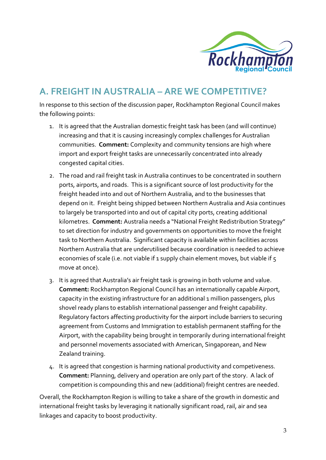

# <span id="page-3-0"></span>**A. FREIGHT IN AUSTRALIA – ARE WE COMPETITIVE?**

In response to this section of the discussion paper, Rockhampton Regional Council makes the following points:

- 1. It is agreed that the Australian domestic freight task has been (and will continue) increasing and that it is causing increasingly complex challenges for Australian communities. **Comment:** Complexity and community tensions are high where import and export freight tasks are unnecessarily concentrated into already congested capital cities.
- 2. The road and rail freight task in Australia continues to be concentrated in southern ports, airports, and roads. This is a significant source of lost productivity for the freight headed into and out of Northern Australia, and to the businesses that depend on it. Freight being shipped between Northern Australia and Asia continues to largely be transported into and out of capital city ports, creating additional kilometres. **Comment:** Australia needs a "National Freight Redistribution Strategy" to set direction for industry and governments on opportunities to move the freight task to Northern Australia. Significant capacity is available within facilities across Northern Australia that are underutilised because coordination is needed to achieve economies of scale (i.e. not viable if 1 supply chain element moves, but viable if 5 move at once).
- 3. It is agreed that Australia's air freight task is growing in both volume and value. **Comment:** Rockhampton Regional Council has an internationally capable Airport, capacity in the existing infrastructure for an additional 1 million passengers, plus shovel ready plans to establish international passenger and freight capability. Regulatory factors affecting productivity for the airport include barriers to securing agreement from Customs and Immigration to establish permanent staffing for the Airport, with the capability being brought in temporarily during international freight and personnel movements associated with American, Singaporean, and New Zealand training.
- 4. It is agreed that congestion is harming national productivity and competiveness. **Comment:** Planning, delivery and operation are only part of the story. A lack of competition is compounding this and new (additional) freight centres are needed.

Overall, the Rockhampton Region is willing to take a share of the growth in domestic and international freight tasks by leveraging it nationally significant road, rail, air and sea linkages and capacity to boost productivity.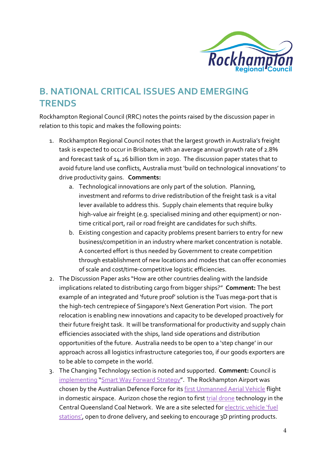

# <span id="page-4-0"></span>**B. NATIONAL CRITICAL ISSUES AND EMERGING TRENDS**

Rockhampton Regional Council (RRC) notes the points raised by the discussion paper in relation to this topic and makes the following points:

- 1. Rockhampton Regional Council notes that the largest growth in Australia's freight task is expected to occur in Brisbane, with an average annual growth rate of 2.8% and forecast task of 14.26 billion tkm in 2030. The discussion paper states that to avoid future land use conflicts, Australia must 'build on technological innovations' to drive productivity gains. **Comments:**
	- a. Technological innovations are only part of the solution. Planning, investment and reforms to drive redistribution of the freight task is a vital lever available to address this. Supply chain elements that require bulky high-value air freight (e.g. specialised mining and other equipment) or nontime critical port, rail or road freight are candidates for such shifts.
	- b. Existing congestion and capacity problems present barriers to entry for new business/competition in an industry where market concentration is notable. A concerted effort is thus needed by Government to create competition through establishment of new locations and modes that can offer economies of scale and cost/time-competitive logistic efficiencies.
- 2. The Discussion Paper asks "How are other countries dealing with the landside implications related to distributing cargo from bigger ships?" **Comment:** The best example of an integrated and 'future proof' solution is the Tuas mega-port that is the high-tech centrepiece of Singapore's Next Generation Port vision. The port relocation is enabling new innovations and capacity to be developed proactively for their future freight task. It will be transformational for productivity and supply chain efficiencies associated with the ships, land side operations and distribution opportunities of the future. Australia needs to be open to a 'step change' in our approach across all logistics infrastructure categories too, if our goods exporters are to be able to compete in the world.
- 3. The Changing Technology section is noted and supported. **Comment:** Council is [implementing](https://www.google.com.au/url?sa=t&rct=j&q=&esrc=s&source=web&cd=2&cad=rja&uact=8&ved=0ahUKEwj_5r3a-Y7VAhWHopQKHRjvBckQtwIIJzAB&url=https%3A%2F%2Fwww.youtube.com%2Fwatch%3Fv%3DREpwMA8VgUE&usg=AFQjCNFPj3tB8oeh-z1Lj4ky2kCeWLFsYw) "[Smart Way Forward Strategy](http://www.google.com.au/url?sa=t&rct=j&q=&esrc=s&source=web&cd=1&cad=rja&uact=8&ved=0ahUKEwjo3uPG-Y7VAhWCEpQKHSOPDMUQFggmMAA&url=http%3A%2F%2Fwww.rockhamptonregion.qld.gov.au%2Ffiles%2Fassets%2Fpublic%2Fcorporate-services%2Fsmart-regional-centre-strategy%2Frrc-smart-region-final-digital.pdf&usg=AFQjCNEKiYbJvqMUIQ2VGtmdXv33DVgQnw)". The Rockhampton Airport was chosen by the Australian Defence Force for it[s first Unmanned Aerial Vehicle](http://www.google.com.au/url?sa=t&rct=j&q=&esrc=s&source=web&cd=1&cad=rja&uact=8&ved=0ahUKEwjdgojs-Y7VAhUFLpQKHZyGBzsQFggiMAA&url=http%3A%2F%2Fwww.abc.net.au%2Fnews%2F2015-06-24%2Fraaf-unmanned-heron-aircraft-talisman-sabre%2F6569900&usg=AFQjCNHeut9XV-qtkQtS929_L4PNzMmucQ) flight in domestic airspace. Aurizon chose the region to first [trial drone](https://www.itnews.com.au/news/aurizon-uses-drones-to-inspect-rail-assets-397377) technology in the Central Queensland Coal Network. We are a site selected for [electric vehicle 'fuel](http://www.google.com.au/url?sa=t&rct=j&q=&esrc=s&source=web&cd=1&cad=rja&uact=8&ved=0ahUKEwiYpO-i-o7VAhUBqJQKHfmuB2IQFggxMAA&url=http%3A%2F%2Fwww.rockhamptonregion.qld.gov.au%2FAboutCouncil%2FNews-and-announcements%2FLatest-News%2FRockhampton-powers-up-with-new-electric-car-charging-stations&usg=AFQjCNFHh1ezAMxsaUidBKF3vdJjvgq-wA)  [stations'](http://www.google.com.au/url?sa=t&rct=j&q=&esrc=s&source=web&cd=1&cad=rja&uact=8&ved=0ahUKEwiYpO-i-o7VAhUBqJQKHfmuB2IQFggxMAA&url=http%3A%2F%2Fwww.rockhamptonregion.qld.gov.au%2FAboutCouncil%2FNews-and-announcements%2FLatest-News%2FRockhampton-powers-up-with-new-electric-car-charging-stations&usg=AFQjCNFHh1ezAMxsaUidBKF3vdJjvgq-wA), open to drone delivery, and seeking to encourage 3D printing products.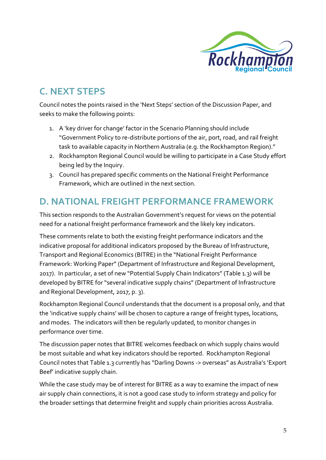

# <span id="page-5-0"></span>**C. NEXT STEPS**

Council notes the points raised in the 'Next Steps' section of the Discussion Paper, and seeks to make the following points:

- 1. A 'key driver for change' factor in the Scenario Planning should include "Government Policy to re-distribute portions of the air, port, road, and rail freight task to available capacity in Northern Australia (e.g. the Rockhampton Region)."
- 2. Rockhampton Regional Council would be willing to participate in a Case Study effort being led by the Inquiry.
- 3. Council has prepared specific comments on the National Freight Performance Framework, which are outlined in the next section.

# <span id="page-5-1"></span>**D. NATIONAL FREIGHT PERFORMANCE FRAMEWORK**

This section responds to the Australian Government's request for views on the potential need for a national freight performance framework and the likely key indicators.

These comments relate to both the existing freight performance indicators and the indicative proposal for additional indicators proposed by the Bureau of Infrastructure, Transport and Regional Economics (BITRE) in the "National Freight Performance Framework: Working Paper" (Department of Infrastructure and Regional Development, 2017). In particular, a set of new "Potential Supply Chain Indicators" (Table 1.3) will be developed by BITRE for "several indicative supply chains" (Department of Infrastructure and Regional Development, 2017, p. 3).

Rockhampton Regional Council understands that the document is a proposal only, and that the 'indicative supply chains' will be chosen to capture a range of freight types, locations, and modes. The indicators will then be regularly updated, to monitor changes in performance over time.

The discussion paper notes that BITRE welcomes feedback on which supply chains would be most suitable and what key indicators should be reported. Rockhampton Regional Council notes that Table 1.3 currently has "Darling Downs -> overseas" as Australia's 'Export Beef' indicative supply chain.

While the case study may be of interest for BITRE as a way to examine the impact of new air supply chain connections, it is not a good case study to inform strategy and policy for the broader settings that determine freight and supply chain priorities across Australia.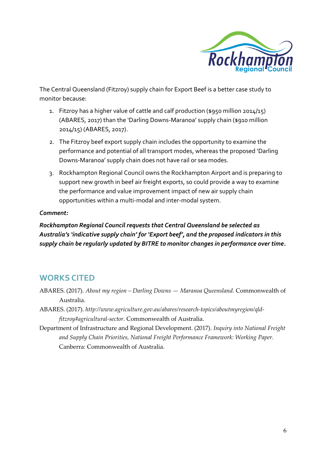

The Central Queensland (Fitzroy) supply chain for Export Beef is a better case study to monitor because:

- 1. Fitzroy has a higher value of cattle and calf production (\$950 million 2014/15) (ABARES, 2017) than the 'Darling Downs-Maranoa' supply chain (\$910 million 2014/15) (ABARES, 2017).
- 2. The Fitzroy beef export supply chain includes the opportunity to examine the performance and potential of all transport modes, whereas the proposed 'Darling Downs-Maranoa' supply chain does not have rail or sea modes.
- 3. Rockhampton Regional Council owns the Rockhampton Airport and is preparing to support new growth in beef air freight exports, so could provide a way to examine the performance and value improvement impact of new air supply chain opportunities within a multi-modal and inter-modal system.

#### *Comment:*

*Rockhampton Regional Council requests that Central Queensland be selected as Australia's 'indicative supply chain' for 'Export beef', and the proposed indicators in this supply chain be regularly updated by BITRE to monitor changes in performance over time.*

#### <span id="page-6-0"></span>**WORKS CITED**

- ABARES. (2017). *About my region – Darling Downs — Maranoa Queensland.* Commonwealth of Australia.
- ABARES. (2017). *http://www.agriculture.gov.au/abares/research-topics/aboutmyregion/qldfitzroy#agricultural-sector.* Commonwealth of Australia.
- Department of Infrastructure and Regional Development. (2017). *Inquiry into National Freight and Supply Chain Priorities, National Freight Performance Framework: Working Paper.* Canberra: Commonwealth of Australia.